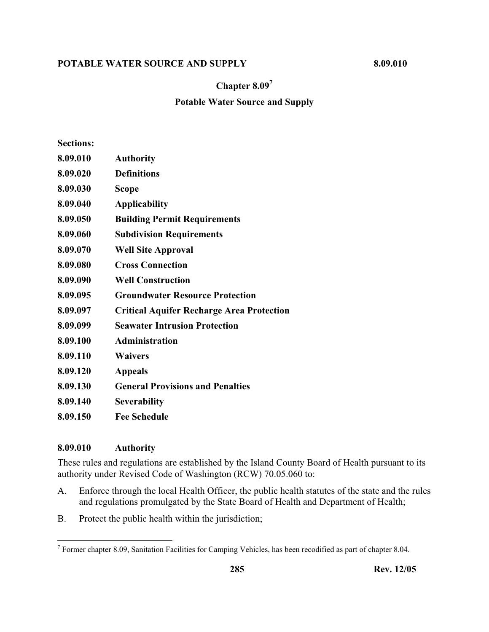## **Chapter 8.097**

# **Potable Water Source and Supply**

| <b>Sections:</b> |                                                  |
|------------------|--------------------------------------------------|
| 8.09.010         | <b>Authority</b>                                 |
| 8.09.020         | <b>Definitions</b>                               |
| 8.09.030         | <b>Scope</b>                                     |
| 8.09.040         | <b>Applicability</b>                             |
| 8.09.050         | <b>Building Permit Requirements</b>              |
| 8.09.060         | <b>Subdivision Requirements</b>                  |
| 8.09.070         | <b>Well Site Approval</b>                        |
| 8.09.080         | <b>Cross Connection</b>                          |
| 8.09.090         | <b>Well Construction</b>                         |
| 8.09.095         | <b>Groundwater Resource Protection</b>           |
| 8.09.097         | <b>Critical Aquifer Recharge Area Protection</b> |
| 8.09.099         | <b>Seawater Intrusion Protection</b>             |
| 8.09.100         | <b>Administration</b>                            |
| 8.09.110         | <b>Waivers</b>                                   |
| 8.09.120         | <b>Appeals</b>                                   |
| 8.09.130         | <b>General Provisions and Penalties</b>          |
| 8.09.140         | <b>Severability</b>                              |
| 8.09.150         | <b>Fee Schedule</b>                              |
|                  |                                                  |

### **8.09.010 Authority**

These rules and regulations are established by the Island County Board of Health pursuant to its authority under Revised Code of Washington (RCW) 70.05.060 to:

- A. Enforce through the local Health Officer, the public health statutes of the state and the rules and regulations promulgated by the State Board of Health and Department of Health;
- B. Protect the public health within the jurisdiction;

<sup>&</sup>lt;sup>7</sup> Former chapter 8.09, Sanitation Facilities for Camping Vehicles, has been recodified as part of chapter 8.04.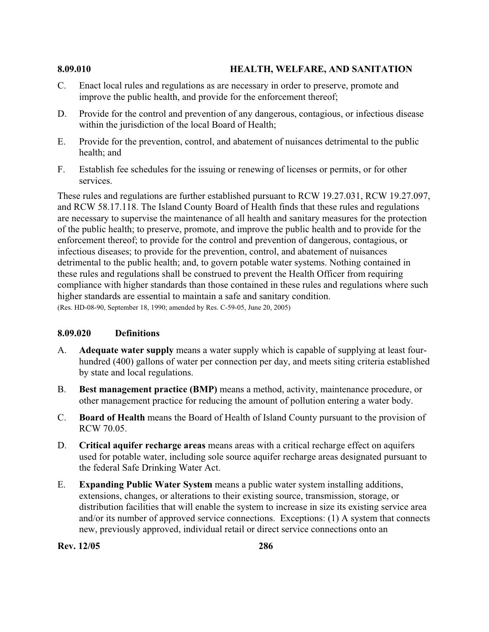#### **8.09.010 HEALTH, WELFARE, AND SANITATION**

- C. Enact local rules and regulations as are necessary in order to preserve, promote and improve the public health, and provide for the enforcement thereof;
- D. Provide for the control and prevention of any dangerous, contagious, or infectious disease within the jurisdiction of the local Board of Health;
- E. Provide for the prevention, control, and abatement of nuisances detrimental to the public health; and
- F. Establish fee schedules for the issuing or renewing of licenses or permits, or for other services.

These rules and regulations are further established pursuant to RCW 19.27.031, RCW 19.27.097, and RCW 58.17.118. The Island County Board of Health finds that these rules and regulations are necessary to supervise the maintenance of all health and sanitary measures for the protection of the public health; to preserve, promote, and improve the public health and to provide for the enforcement thereof; to provide for the control and prevention of dangerous, contagious, or infectious diseases; to provide for the prevention, control, and abatement of nuisances detrimental to the public health; and, to govern potable water systems. Nothing contained in these rules and regulations shall be construed to prevent the Health Officer from requiring compliance with higher standards than those contained in these rules and regulations where such higher standards are essential to maintain a safe and sanitary condition. (Res. HD-08-90, September 18, 1990; amended by Res. C-59-05, June 20, 2005)

## **8.09.020 Definitions**

- A. **Adequate water supply** means a water supply which is capable of supplying at least fourhundred (400) gallons of water per connection per day, and meets siting criteria established by state and local regulations.
- B. **Best management practice (BMP)** means a method, activity, maintenance procedure, or other management practice for reducing the amount of pollution entering a water body.
- C. **Board of Health** means the Board of Health of Island County pursuant to the provision of RCW 70.05.
- D. **Critical aquifer recharge areas** means areas with a critical recharge effect on aquifers used for potable water, including sole source aquifer recharge areas designated pursuant to the federal Safe Drinking Water Act.
- E. **Expanding Public Water System** means a public water system installing additions, extensions, changes, or alterations to their existing source, transmission, storage, or distribution facilities that will enable the system to increase in size its existing service area and/or its number of approved service connections. Exceptions: (1) A system that connects new, previously approved, individual retail or direct service connections onto an

**Rev. 12/05 286**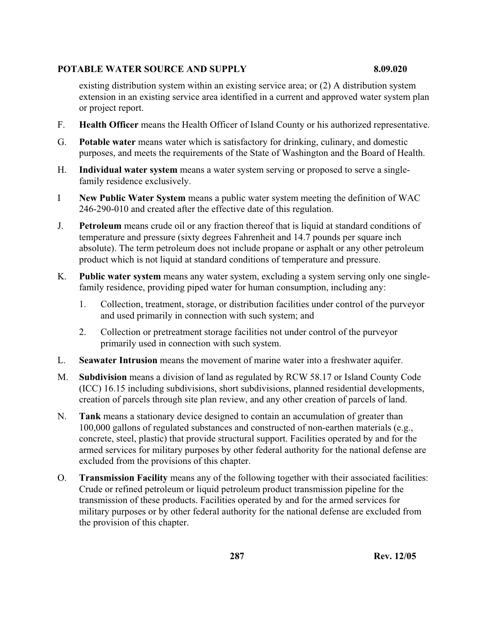existing distribution system within an existing service area; or (2) A distribution system extension in an existing service area identified in a current and approved water system plan or project report.

- F. **Health Officer** means the Health Officer of Island County or his authorized representative.
- G. **Potable water** means water which is satisfactory for drinking, culinary, and domestic purposes, and meets the requirements of the State of Washington and the Board of Health.
- H. **Individual water system** means a water system serving or proposed to serve a singlefamily residence exclusively.
- I **New Public Water System** means a public water system meeting the definition of WAC 246-290-010 and created after the effective date of this regulation.
- J. **Petroleum** means crude oil or any fraction thereof that is liquid at standard conditions of temperature and pressure (sixty degrees Fahrenheit and 14.7 pounds per square inch absolute). The term petroleum does not include propane or asphalt or any other petroleum product which is not liquid at standard conditions of temperature and pressure.
- K. **Public water system** means any water system, excluding a system serving only one singlefamily residence, providing piped water for human consumption, including any:
	- 1. Collection, treatment, storage, or distribution facilities under control of the purveyor and used primarily in connection with such system; and
	- 2. Collection or pretreatment storage facilities not under control of the purveyor primarily used in connection with such system.
- L. **Seawater Intrusion** means the movement of marine water into a freshwater aquifer.
- M. **Subdivision** means a division of land as regulated by RCW 58.17 or Island County Code (ICC) 16.15 including subdivisions, short subdivisions, planned residential developments, creation of parcels through site plan review, and any other creation of parcels of land.
- N. **Tank** means a stationary device designed to contain an accumulation of greater than 100,000 gallons of regulated substances and constructed of non-earthen materials (e.g., concrete, steel, plastic) that provide structural support. Facilities operated by and for the armed services for military purposes by other federal authority for the national defense are excluded from the provisions of this chapter.
- O. **Transmission Facility** means any of the following together with their associated facilities: Crude or refined petroleum or liquid petroleum product transmission pipeline for the transmission of these products. Facilities operated by and for the armed services for military purposes or by other federal authority for the national defense are excluded from the provision of this chapter.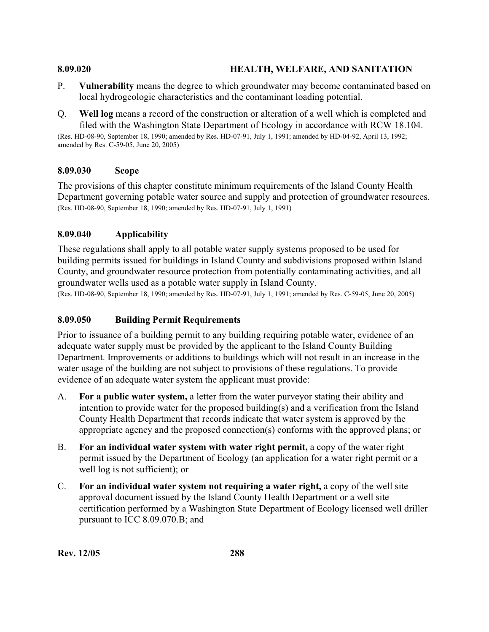### **8.09.020 HEALTH, WELFARE, AND SANITATION**

- P. **Vulnerability** means the degree to which groundwater may become contaminated based on local hydrogeologic characteristics and the contaminant loading potential.
- Q. **Well log** means a record of the construction or alteration of a well which is completed and filed with the Washington State Department of Ecology in accordance with RCW 18.104.

(Res. HD-08-90, September 18, 1990; amended by Res. HD-07-91, July 1, 1991; amended by HD-04-92, April 13, 1992; amended by Res. C-59-05, June 20, 2005)

### **8.09.030 Scope**

The provisions of this chapter constitute minimum requirements of the Island County Health Department governing potable water source and supply and protection of groundwater resources. (Res. HD-08-90, September 18, 1990; amended by Res. HD-07-91, July 1, 1991)

## **8.09.040 Applicability**

These regulations shall apply to all potable water supply systems proposed to be used for building permits issued for buildings in Island County and subdivisions proposed within Island County, and groundwater resource protection from potentially contaminating activities, and all groundwater wells used as a potable water supply in Island County.

(Res. HD-08-90, September 18, 1990; amended by Res. HD-07-91, July 1, 1991; amended by Res. C-59-05, June 20, 2005)

## **8.09.050 Building Permit Requirements**

Prior to issuance of a building permit to any building requiring potable water, evidence of an adequate water supply must be provided by the applicant to the Island County Building Department. Improvements or additions to buildings which will not result in an increase in the water usage of the building are not subject to provisions of these regulations. To provide evidence of an adequate water system the applicant must provide:

- A. **For a public water system,** a letter from the water purveyor stating their ability and intention to provide water for the proposed building(s) and a verification from the Island County Health Department that records indicate that water system is approved by the appropriate agency and the proposed connection(s) conforms with the approved plans; or
- B. **For an individual water system with water right permit,** a copy of the water right permit issued by the Department of Ecology (an application for a water right permit or a well log is not sufficient); or
- C. **For an individual water system not requiring a water right,** a copy of the well site approval document issued by the Island County Health Department or a well site certification performed by a Washington State Department of Ecology licensed well driller pursuant to ICC 8.09.070.B; and

**Rev. 12/05 288**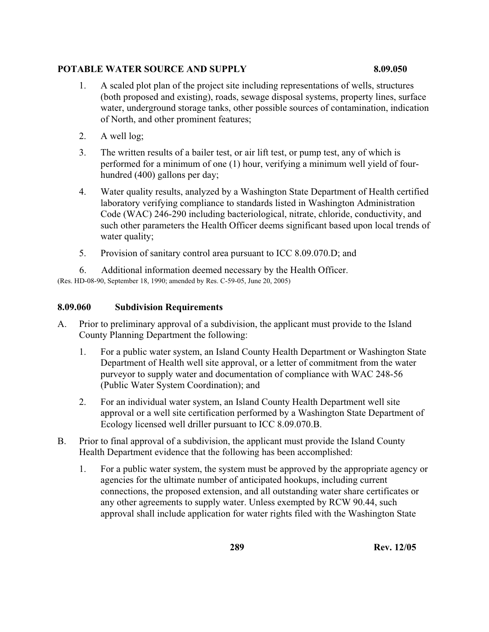- 1. A scaled plot plan of the project site including representations of wells, structures (both proposed and existing), roads, sewage disposal systems, property lines, surface water, underground storage tanks, other possible sources of contamination, indication of North, and other prominent features;
- 2. A well log;
- 3. The written results of a bailer test, or air lift test, or pump test, any of which is performed for a minimum of one (1) hour, verifying a minimum well yield of fourhundred (400) gallons per day;
- 4. Water quality results, analyzed by a Washington State Department of Health certified laboratory verifying compliance to standards listed in Washington Administration Code (WAC) 246-290 including bacteriological, nitrate, chloride, conductivity, and such other parameters the Health Officer deems significant based upon local trends of water quality;
- 5. Provision of sanitary control area pursuant to ICC 8.09.070.D; and
- 6. Additional information deemed necessary by the Health Officer.

(Res. HD-08-90, September 18, 1990; amended by Res. C-59-05, June 20, 2005)

# **8.09.060 Subdivision Requirements**

- A. Prior to preliminary approval of a subdivision, the applicant must provide to the Island County Planning Department the following:
	- 1. For a public water system, an Island County Health Department or Washington State Department of Health well site approval, or a letter of commitment from the water purveyor to supply water and documentation of compliance with WAC 248-56 (Public Water System Coordination); and
	- 2. For an individual water system, an Island County Health Department well site approval or a well site certification performed by a Washington State Department of Ecology licensed well driller pursuant to ICC 8.09.070.B.
- B. Prior to final approval of a subdivision, the applicant must provide the Island County Health Department evidence that the following has been accomplished:
	- 1. For a public water system, the system must be approved by the appropriate agency or agencies for the ultimate number of anticipated hookups, including current connections, the proposed extension, and all outstanding water share certificates or any other agreements to supply water. Unless exempted by RCW 90.44, such approval shall include application for water rights filed with the Washington State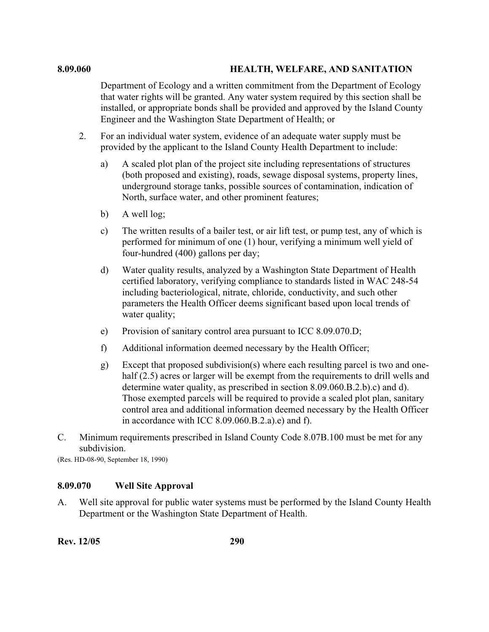#### **8.09.060 HEALTH, WELFARE, AND SANITATION**

Department of Ecology and a written commitment from the Department of Ecology that water rights will be granted. Any water system required by this section shall be installed, or appropriate bonds shall be provided and approved by the Island County Engineer and the Washington State Department of Health; or

- 2. For an individual water system, evidence of an adequate water supply must be provided by the applicant to the Island County Health Department to include:
	- a) A scaled plot plan of the project site including representations of structures (both proposed and existing), roads, sewage disposal systems, property lines, underground storage tanks, possible sources of contamination, indication of North, surface water, and other prominent features;
	- b) A well log;
	- c) The written results of a bailer test, or air lift test, or pump test, any of which is performed for minimum of one (1) hour, verifying a minimum well yield of four-hundred (400) gallons per day;
	- d) Water quality results, analyzed by a Washington State Department of Health certified laboratory, verifying compliance to standards listed in WAC 248-54 including bacteriological, nitrate, chloride, conductivity, and such other parameters the Health Officer deems significant based upon local trends of water quality;
	- e) Provision of sanitary control area pursuant to ICC 8.09.070.D;
	- f) Additional information deemed necessary by the Health Officer;
	- g) Except that proposed subdivision(s) where each resulting parcel is two and onehalf (2.5) acres or larger will be exempt from the requirements to drill wells and determine water quality, as prescribed in section 8.09.060.B.2.b).c) and d). Those exempted parcels will be required to provide a scaled plot plan, sanitary control area and additional information deemed necessary by the Health Officer in accordance with ICC 8.09.060.B.2.a).e) and f).
- C. Minimum requirements prescribed in Island County Code 8.07B.100 must be met for any subdivision.

(Res. HD-08-90, September 18, 1990)

#### **8.09.070 Well Site Approval**

A. Well site approval for public water systems must be performed by the Island County Health Department or the Washington State Department of Health.

**Rev. 12/05 290**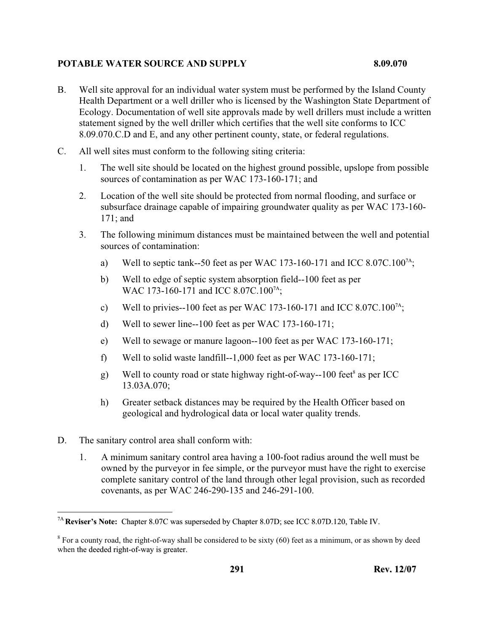- B. Well site approval for an individual water system must be performed by the Island County Health Department or a well driller who is licensed by the Washington State Department of Ecology. Documentation of well site approvals made by well drillers must include a written statement signed by the well driller which certifies that the well site conforms to ICC 8.09.070.C.D and E, and any other pertinent county, state, or federal regulations.
- C. All well sites must conform to the following siting criteria:
	- 1. The well site should be located on the highest ground possible, upslope from possible sources of contamination as per WAC 173-160-171; and
	- 2. Location of the well site should be protected from normal flooding, and surface or subsurface drainage capable of impairing groundwater quality as per WAC 173-160- 171; and
	- 3. The following minimum distances must be maintained between the well and potential sources of contamination:
		- a) Well to septic tank--50 feet as per WAC 173-160-171 and ICC 8.07C.100<sup>7A</sup>;
		- b) Well to edge of septic system absorption field--100 feet as per WAC 173-160-171 and ICC 8.07C.100<sup>7A</sup>;
		- c) Well to privies--100 feet as per WAC 173-160-171 and ICC 8.07C.100<sup>7A</sup>;
		- d) Well to sewer line--100 feet as per WAC 173-160-171;
		- e) Well to sewage or manure lagoon--100 feet as per WAC 173-160-171;
		- f) Well to solid waste landfill--1,000 feet as per WAC 173-160-171;
		- g) Well to county road or state highway right-of-way--100 feet<sup>8</sup> as per ICC 13.03A.070;
		- h) Greater setback distances may be required by the Health Officer based on geological and hydrological data or local water quality trends.
- D. The sanitary control area shall conform with:
	- 1. A minimum sanitary control area having a 100-foot radius around the well must be owned by the purveyor in fee simple, or the purveyor must have the right to exercise complete sanitary control of the land through other legal provision, such as recorded covenants, as per WAC 246-290-135 and 246-291-100.

 $\overline{a}$ 7A **Reviser's Note:** Chapter 8.07C was superseded by Chapter 8.07D; see ICC 8.07D.120, Table IV.

 $8$  For a county road, the right-of-way shall be considered to be sixty (60) feet as a minimum, or as shown by deed when the deeded right-of-way is greater.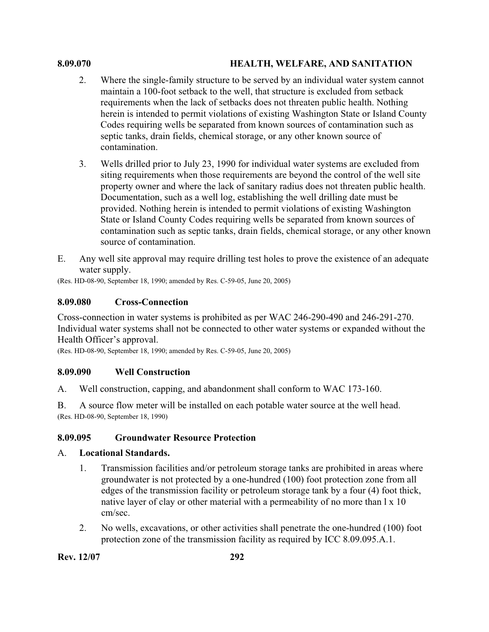### **8.09.070 HEALTH, WELFARE, AND SANITATION**

- 2. Where the single-family structure to be served by an individual water system cannot maintain a 100-foot setback to the well, that structure is excluded from setback requirements when the lack of setbacks does not threaten public health. Nothing herein is intended to permit violations of existing Washington State or Island County Codes requiring wells be separated from known sources of contamination such as septic tanks, drain fields, chemical storage, or any other known source of contamination.
- 3. Wells drilled prior to July 23, 1990 for individual water systems are excluded from siting requirements when those requirements are beyond the control of the well site property owner and where the lack of sanitary radius does not threaten public health. Documentation, such as a well log, establishing the well drilling date must be provided. Nothing herein is intended to permit violations of existing Washington State or Island County Codes requiring wells be separated from known sources of contamination such as septic tanks, drain fields, chemical storage, or any other known source of contamination.
- E. Any well site approval may require drilling test holes to prove the existence of an adequate water supply.

(Res. HD-08-90, September 18, 1990; amended by Res. C-59-05, June 20, 2005)

#### **8.09.080 Cross-Connection**

Cross-connection in water systems is prohibited as per WAC 246-290-490 and 246-291-270. Individual water systems shall not be connected to other water systems or expanded without the Health Officer's approval.

(Res. HD-08-90, September 18, 1990; amended by Res. C-59-05, June 20, 2005)

#### **8.09.090 Well Construction**

A. Well construction, capping, and abandonment shall conform to WAC 173-160.

B. A source flow meter will be installed on each potable water source at the well head. (Res. HD-08-90, September 18, 1990)

### **8.09.095 Groundwater Resource Protection**

#### A. **Locational Standards.**

- 1. Transmission facilities and/or petroleum storage tanks are prohibited in areas where groundwater is not protected by a one-hundred (100) foot protection zone from all edges of the transmission facility or petroleum storage tank by a four (4) foot thick, native layer of clay or other material with a permeability of no more than l x 10 cm/sec.
- 2. No wells, excavations, or other activities shall penetrate the one-hundred (100) foot protection zone of the transmission facility as required by ICC 8.09.095.A.1.

**Rev. 12/07 292**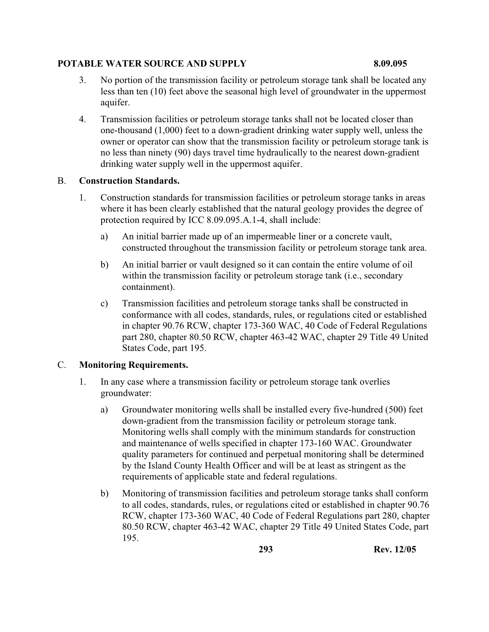- 3. No portion of the transmission facility or petroleum storage tank shall be located any less than ten (10) feet above the seasonal high level of groundwater in the uppermost aquifer.
- 4. Transmission facilities or petroleum storage tanks shall not be located closer than one-thousand (1,000) feet to a down-gradient drinking water supply well, unless the owner or operator can show that the transmission facility or petroleum storage tank is no less than ninety (90) days travel time hydraulically to the nearest down-gradient drinking water supply well in the uppermost aquifer.

## B. **Construction Standards.**

- 1. Construction standards for transmission facilities or petroleum storage tanks in areas where it has been clearly established that the natural geology provides the degree of protection required by ICC 8.09.095.A.1-4, shall include:
	- a) An initial barrier made up of an impermeable liner or a concrete vault, constructed throughout the transmission facility or petroleum storage tank area.
	- b) An initial barrier or vault designed so it can contain the entire volume of oil within the transmission facility or petroleum storage tank (i.e., secondary containment).
	- c) Transmission facilities and petroleum storage tanks shall be constructed in conformance with all codes, standards, rules, or regulations cited or established in chapter 90.76 RCW, chapter 173-360 WAC, 40 Code of Federal Regulations part 280, chapter 80.50 RCW, chapter 463-42 WAC, chapter 29 Title 49 United States Code, part 195.

# C. **Monitoring Requirements.**

- 1. In any case where a transmission facility or petroleum storage tank overlies groundwater:
	- a) Groundwater monitoring wells shall be installed every five-hundred (500) feet down-gradient from the transmission facility or petroleum storage tank. Monitoring wells shall comply with the minimum standards for construction and maintenance of wells specified in chapter 173-160 WAC. Groundwater quality parameters for continued and perpetual monitoring shall be determined by the Island County Health Officer and will be at least as stringent as the requirements of applicable state and federal regulations.
	- b) Monitoring of transmission facilities and petroleum storage tanks shall conform to all codes, standards, rules, or regulations cited or established in chapter 90.76 RCW, chapter 173-360 WAC, 40 Code of Federal Regulations part 280, chapter 80.50 RCW, chapter 463-42 WAC, chapter 29 Title 49 United States Code, part 195.

**293 Rev. 12/05**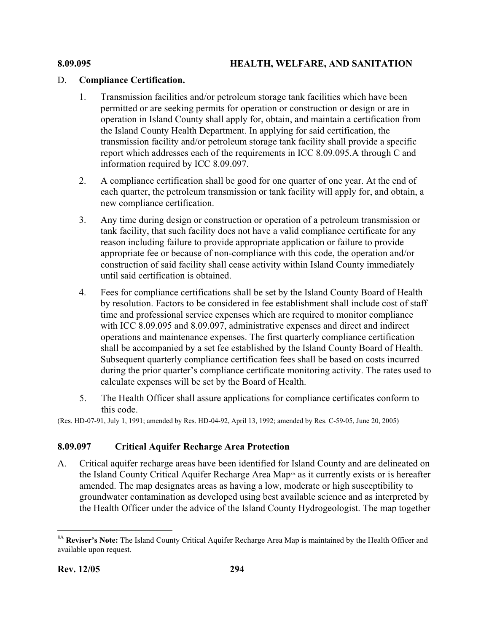# D. **Compliance Certification.**

- 1. Transmission facilities and/or petroleum storage tank facilities which have been permitted or are seeking permits for operation or construction or design or are in operation in Island County shall apply for, obtain, and maintain a certification from the Island County Health Department. In applying for said certification, the transmission facility and/or petroleum storage tank facility shall provide a specific report which addresses each of the requirements in ICC 8.09.095.A through C and information required by ICC 8.09.097.
- 2. A compliance certification shall be good for one quarter of one year. At the end of each quarter, the petroleum transmission or tank facility will apply for, and obtain, a new compliance certification.
- 3. Any time during design or construction or operation of a petroleum transmission or tank facility, that such facility does not have a valid compliance certificate for any reason including failure to provide appropriate application or failure to provide appropriate fee or because of non-compliance with this code, the operation and/or construction of said facility shall cease activity within Island County immediately until said certification is obtained.
- 4. Fees for compliance certifications shall be set by the Island County Board of Health by resolution. Factors to be considered in fee establishment shall include cost of staff time and professional service expenses which are required to monitor compliance with ICC 8.09.095 and 8.09.097, administrative expenses and direct and indirect operations and maintenance expenses. The first quarterly compliance certification shall be accompanied by a set fee established by the Island County Board of Health. Subsequent quarterly compliance certification fees shall be based on costs incurred during the prior quarter's compliance certificate monitoring activity. The rates used to calculate expenses will be set by the Board of Health.
- 5. The Health Officer shall assure applications for compliance certificates conform to this code.

(Res. HD-07-91, July 1, 1991; amended by Res. HD-04-92, April 13, 1992; amended by Res. C-59-05, June 20, 2005)

# **8.09.097 Critical Aquifer Recharge Area Protection**

A. Critical aquifer recharge areas have been identified for Island County and are delineated on the Island County Critical Aquifer Recharge Area Map<sup>8A</sup> as it currently exists or is hereafter amended. The map designates areas as having a low, moderate or high susceptibility to groundwater contamination as developed using best available science and as interpreted by the Health Officer under the advice of the Island County Hydrogeologist. The map together

 $\overline{a}$ 8A **Reviser's Note:** The Island County Critical Aquifer Recharge Area Map is maintained by the Health Officer and available upon request.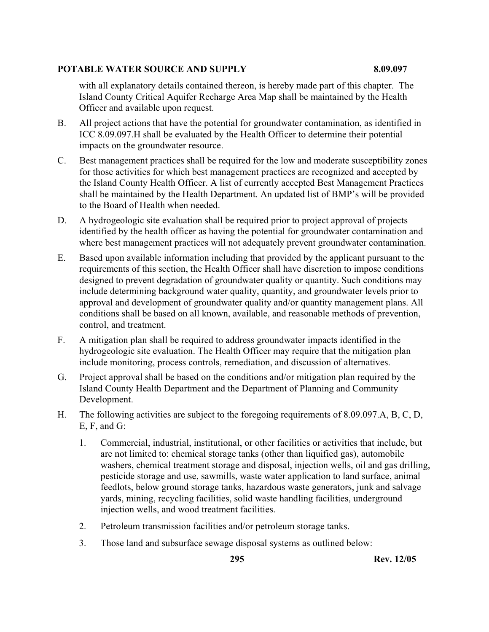with all explanatory details contained thereon, is hereby made part of this chapter. The Island County Critical Aquifer Recharge Area Map shall be maintained by the Health Officer and available upon request.

- B. All project actions that have the potential for groundwater contamination, as identified in ICC 8.09.097.H shall be evaluated by the Health Officer to determine their potential impacts on the groundwater resource.
- C. Best management practices shall be required for the low and moderate susceptibility zones for those activities for which best management practices are recognized and accepted by the Island County Health Officer. A list of currently accepted Best Management Practices shall be maintained by the Health Department. An updated list of BMP's will be provided to the Board of Health when needed.
- D. A hydrogeologic site evaluation shall be required prior to project approval of projects identified by the health officer as having the potential for groundwater contamination and where best management practices will not adequately prevent groundwater contamination.
- E. Based upon available information including that provided by the applicant pursuant to the requirements of this section, the Health Officer shall have discretion to impose conditions designed to prevent degradation of groundwater quality or quantity. Such conditions may include determining background water quality, quantity, and groundwater levels prior to approval and development of groundwater quality and/or quantity management plans. All conditions shall be based on all known, available, and reasonable methods of prevention, control, and treatment.
- F. A mitigation plan shall be required to address groundwater impacts identified in the hydrogeologic site evaluation. The Health Officer may require that the mitigation plan include monitoring, process controls, remediation, and discussion of alternatives.
- G. Project approval shall be based on the conditions and/or mitigation plan required by the Island County Health Department and the Department of Planning and Community Development.
- H. The following activities are subject to the foregoing requirements of 8.09.097.A, B, C, D, E, F, and G:
	- 1. Commercial, industrial, institutional, or other facilities or activities that include, but are not limited to: chemical storage tanks (other than liquified gas), automobile washers, chemical treatment storage and disposal, injection wells, oil and gas drilling, pesticide storage and use, sawmills, waste water application to land surface, animal feedlots, below ground storage tanks, hazardous waste generators, junk and salvage yards, mining, recycling facilities, solid waste handling facilities, underground injection wells, and wood treatment facilities.
	- 2. Petroleum transmission facilities and/or petroleum storage tanks.
	- 3. Those land and subsurface sewage disposal systems as outlined below: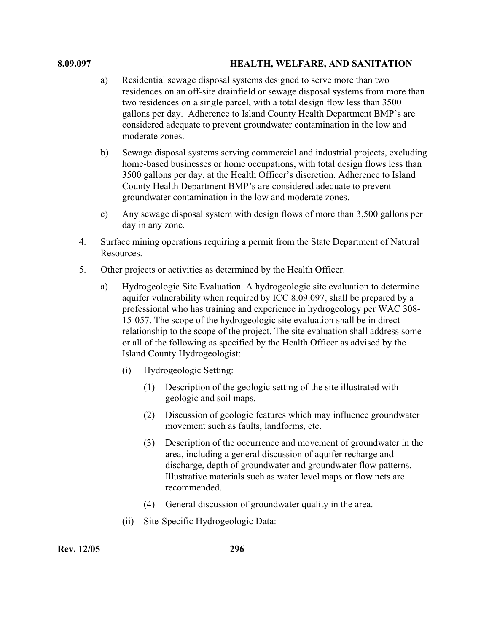- a) Residential sewage disposal systems designed to serve more than two residences on an off-site drainfield or sewage disposal systems from more than two residences on a single parcel, with a total design flow less than 3500 gallons per day. Adherence to Island County Health Department BMP's are considered adequate to prevent groundwater contamination in the low and moderate zones.
- b) Sewage disposal systems serving commercial and industrial projects, excluding home-based businesses or home occupations, with total design flows less than 3500 gallons per day, at the Health Officer's discretion. Adherence to Island County Health Department BMP's are considered adequate to prevent groundwater contamination in the low and moderate zones.
- c) Any sewage disposal system with design flows of more than 3,500 gallons per day in any zone.
- 4. Surface mining operations requiring a permit from the State Department of Natural Resources.
- 5. Other projects or activities as determined by the Health Officer.
	- a) Hydrogeologic Site Evaluation. A hydrogeologic site evaluation to determine aquifer vulnerability when required by ICC 8.09.097, shall be prepared by a professional who has training and experience in hydrogeology per WAC 308- 15-057. The scope of the hydrogeologic site evaluation shall be in direct relationship to the scope of the project. The site evaluation shall address some or all of the following as specified by the Health Officer as advised by the Island County Hydrogeologist:
		- (i) Hydrogeologic Setting:
			- (1) Description of the geologic setting of the site illustrated with geologic and soil maps.
			- (2) Discussion of geologic features which may influence groundwater movement such as faults, landforms, etc.
			- (3) Description of the occurrence and movement of groundwater in the area, including a general discussion of aquifer recharge and discharge, depth of groundwater and groundwater flow patterns. Illustrative materials such as water level maps or flow nets are recommended.
			- (4) General discussion of groundwater quality in the area.
		- (ii) Site-Specific Hydrogeologic Data: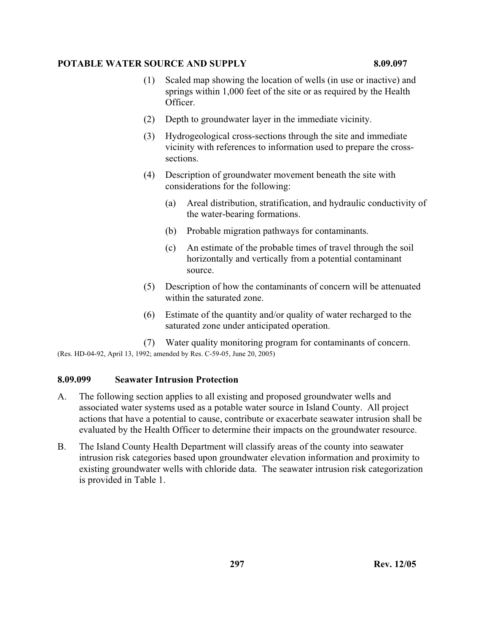- (1) Scaled map showing the location of wells (in use or inactive) and springs within 1,000 feet of the site or as required by the Health Officer.
- (2) Depth to groundwater layer in the immediate vicinity.
- (3) Hydrogeological cross-sections through the site and immediate vicinity with references to information used to prepare the crosssections.
- (4) Description of groundwater movement beneath the site with considerations for the following:
	- (a) Areal distribution, stratification, and hydraulic conductivity of the water-bearing formations.
	- (b) Probable migration pathways for contaminants.
	- (c) An estimate of the probable times of travel through the soil horizontally and vertically from a potential contaminant source.
- (5) Description of how the contaminants of concern will be attenuated within the saturated zone.
- (6) Estimate of the quantity and/or quality of water recharged to the saturated zone under anticipated operation.

(7) Water quality monitoring program for contaminants of concern. (Res. HD-04-92, April 13, 1992; amended by Res. C-59-05, June 20, 2005)

# **8.09.099 Seawater Intrusion Protection**

- A. The following section applies to all existing and proposed groundwater wells and associated water systems used as a potable water source in Island County. All project actions that have a potential to cause, contribute or exacerbate seawater intrusion shall be evaluated by the Health Officer to determine their impacts on the groundwater resource.
- B. The Island County Health Department will classify areas of the county into seawater intrusion risk categories based upon groundwater elevation information and proximity to existing groundwater wells with chloride data. The seawater intrusion risk categorization is provided in Table 1.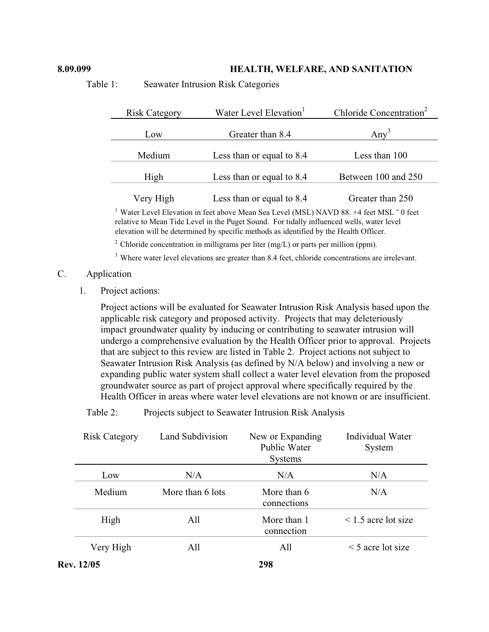#### **8.09.099 HEALTH, WELFARE, AND SANITATION**

Table 1: Seawater Intrusion Risk Categories

| Water Level Elevation <sup>1</sup><br><b>Risk Category</b> |                           | Chloride Concentration <sup>2</sup> |  |
|------------------------------------------------------------|---------------------------|-------------------------------------|--|
| Low                                                        | Greater than 8.4          | Any <sup>3</sup>                    |  |
| Medium                                                     | Less than or equal to 8.4 | Less than 100                       |  |
| High                                                       | Less than or equal to 8.4 | Between 100 and 250                 |  |
| Very High                                                  | Less than or equal to 8.4 | Greater than 250                    |  |

<sup>1</sup> Water Level Elevation in feet above Mean Sea Level (MSL) NAVD 88.  $+4$  feet MSL  $\degree$  0 feet relative to Mean Tide Level in the Puget Sound. For tidally influenced wells, water level elevation will be determined by specific methods as identified by the Health Officer.

<sup>2</sup> Chloride concentration in milligrams per liter (mg/L) or parts per million (ppm).

<sup>3</sup> Where water level elevations are greater than 8.4 feet, chloride concentrations are irrelevant.

## C. Application

1. Project actions:

Project actions will be evaluated for Seawater Intrusion Risk Analysis based upon the applicable risk category and proposed activity.Projects that may deleteriously impact groundwater quality by inducing or contributing to seawater intrusion will undergo a comprehensive evaluation by the Health Officer prior to approval. Projects that are subject to this review are listed in Table 2. Project actions not subject to Seawater Intrusion Risk Analysis (as defined by N/A below) and involving a new or expanding public water system shall collect a water level elevation from the proposed groundwater source as part of project approval where specifically required by the Health Officer in areas where water level elevations are not known or are insufficient.

Table 2: Projects subject to Seawater Intrusion Risk Analysis

| <b>Risk Category</b> | Land Subdivision | New or Expanding<br>Public Water<br><b>Systems</b> | Individual Water<br>System |
|----------------------|------------------|----------------------------------------------------|----------------------------|
| Low                  | N/A              | N/A                                                | N/A                        |
| Medium               | More than 6 lots | More than 6<br>connections                         | N/A                        |
| High                 | All              | More than 1<br>connection                          | $\leq$ 1.5 acre lot size   |
| Very High            | All              | All                                                | $\leq$ 5 acre lot size     |
| Rev. 12/05           |                  | 298                                                |                            |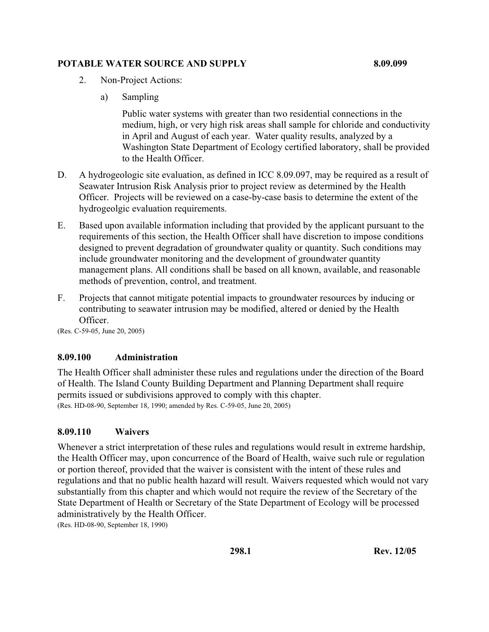# **POTABLE WATER SOURCE AND SUPPLY 8.09.099 8.09.099**

- 2. Non-Project Actions:
	- a) Sampling

Public water systems with greater than two residential connections in the medium, high, or very high risk areas shall sample for chloride and conductivity in April and August of each year. Water quality results, analyzed by a Washington State Department of Ecology certified laboratory, shall be provided to the Health Officer.

- D. A hydrogeologic site evaluation, as defined in ICC 8.09.097, may be required as a result of Seawater Intrusion Risk Analysis prior to project review as determined by the Health Officer. Projects will be reviewed on a case-by-case basis to determine the extent of the hydrogeolgic evaluation requirements.
- E. Based upon available information including that provided by the applicant pursuant to the requirements of this section, the Health Officer shall have discretion to impose conditions designed to prevent degradation of groundwater quality or quantity. Such conditions may include groundwater monitoring and the development of groundwater quantity management plans. All conditions shall be based on all known, available, and reasonable methods of prevention, control, and treatment.
- F. Projects that cannot mitigate potential impacts to groundwater resources by inducing or contributing to seawater intrusion may be modified, altered or denied by the Health Officer.

(Res. C-59-05, June 20, 2005)

## **8.09.100 Administration**

The Health Officer shall administer these rules and regulations under the direction of the Board of Health. The Island County Building Department and Planning Department shall require permits issued or subdivisions approved to comply with this chapter. (Res. HD-08-90, September 18, 1990; amended by Res. C-59-05, June 20, 2005)

## **8.09.110 Waivers**

Whenever a strict interpretation of these rules and regulations would result in extreme hardship, the Health Officer may, upon concurrence of the Board of Health, waive such rule or regulation or portion thereof, provided that the waiver is consistent with the intent of these rules and regulations and that no public health hazard will result. Waivers requested which would not vary substantially from this chapter and which would not require the review of the Secretary of the State Department of Health or Secretary of the State Department of Ecology will be processed administratively by the Health Officer.

(Res. HD-08-90, September 18, 1990)